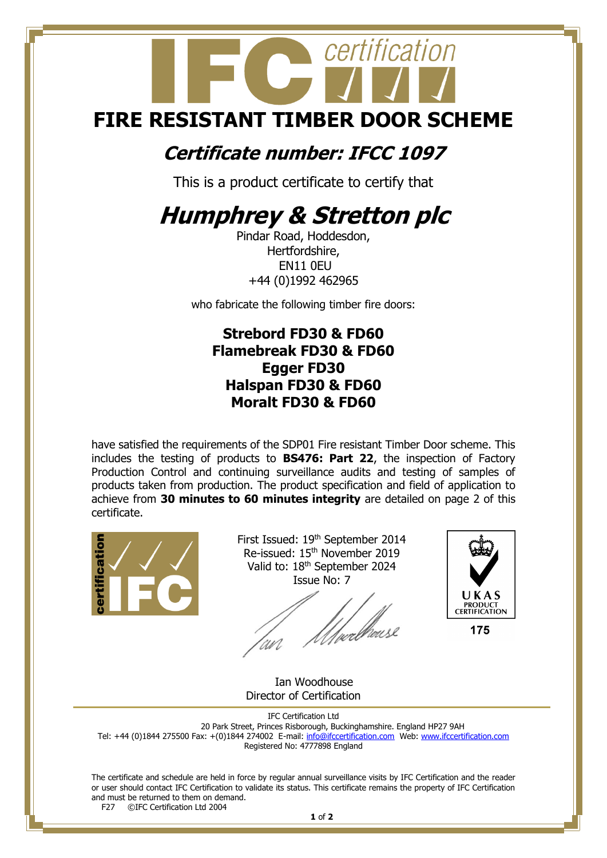# certification **FIRE RESISTANT TIMBER DOOR SCHEME**

### **Certificate number: IFCC 1097**

This is a product certificate to certify that

## **Humphrey & Stretton plc**

Pindar Road, Hoddesdon, Hertfordshire, EN11 0EU +44 (0)1992 462965

who fabricate the following timber fire doors:

#### **Strebord FD30 & FD60 Flamebreak FD30 & FD60 Egger FD30 Halspan FD30 & FD60 Moralt FD30 & FD60**

have satisfied the requirements of the SDP01 Fire resistant Timber Door scheme. This includes the testing of products to **BS476: Part 22**, the inspection of Factory Production Control and continuing surveillance audits and testing of samples of products taken from production. The product specification and field of application to achieve from **30 minutes to 60 minutes integrity** are detailed on page 2 of this certificate.



First Issued: 19<sup>th</sup> September 2014 Re-issued: 15<sup>th</sup> November 2019 Valid to: 18<sup>th</sup> September 2024 Issue No: 7



Ian Woodhouse Director of Certification

IFC Certification Ltd 20 Park Street, Princes Risborough, Buckinghamshire. England HP27 9AH Tel: +44 (0)1844 275500 Fax: +(0)1844 274002 E-mail: <u>info@ifccertification.com</u> Web: [www.ifccertification.com](http://www.ifccertification.com/) Registered No: 4777898 England

The certificate and schedule are held in force by regular annual surveillance visits by IFC Certification and the reader or user should contact IFC Certification to validate its status. This certificate remains the property of IFC Certification and must be returned to them on demand.<br> $F27$  © TEC Certification Ltd 2004 ©IFC Certification Ltd 2004